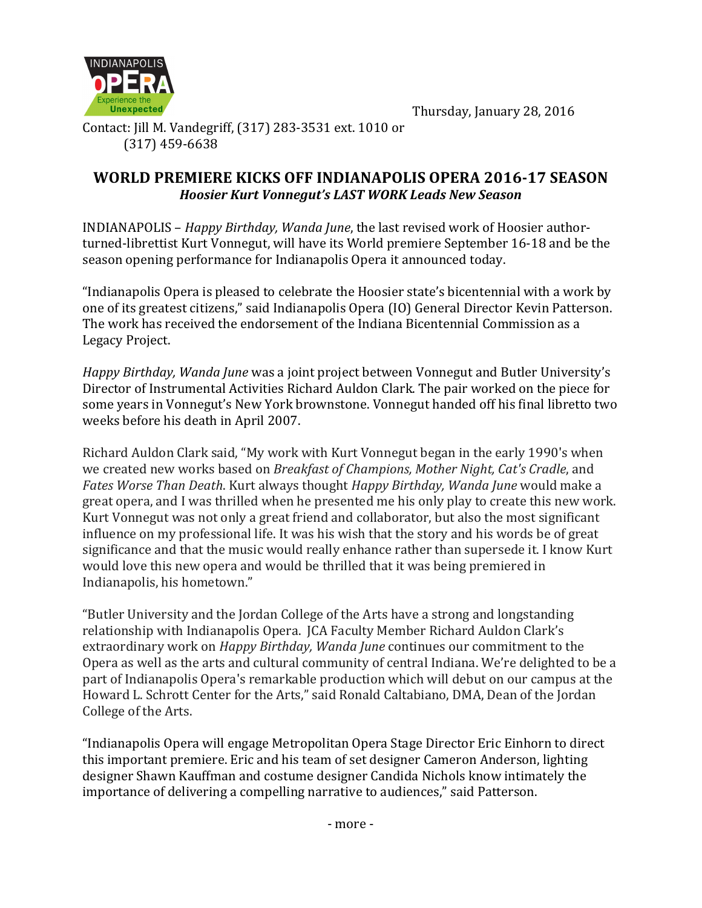

Thursday, January 28, 2016

Contact: [ill M. Vandegriff, (317) 283-3531 ext. 1010 or (317) 459-6638

## **WORLD PREMIERE KICKS OFF INDIANAPOLIS OPERA 2016-17 SEASON** *Hoosier Kurt Vonnegut's LAST WORK Leads New Season*

INDIANAPOLIS – *Happy Birthday, Wanda June*, the last revised work of Hoosier authorturned-librettist Kurt Vonnegut, will have its World premiere September 16-18 and be the season opening performance for Indianapolis Opera it announced today.

"Indianapolis Opera is pleased to celebrate the Hoosier state's bicentennial with a work by one of its greatest citizens," said Indianapolis Opera (IO) General Director Kevin Patterson. The work has received the endorsement of the Indiana Bicentennial Commission as a Legacy Project.

*Happy Birthday, Wanda June* was a joint project between Vonnegut and Butler University's Director of Instrumental Activities Richard Auldon Clark. The pair worked on the piece for some vears in Vonnegut's New York brownstone. Vonnegut handed off his final libretto two weeks before his death in April 2007.

Richard Auldon Clark said, "My work with Kurt Vonnegut began in the early 1990's when we created new works based on *Breakfast of Champions, Mother Night, Cat's Cradle*, and *Fates Worse Than Death.* Kurt always thought *Happy Birthday, Wanda June* would make a great opera, and I was thrilled when he presented me his only play to create this new work. Kurt Vonnegut was not only a great friend and collaborator, but also the most significant influence on my professional life. It was his wish that the story and his words be of great significance and that the music would really enhance rather than supersede it. I know Kurt would love this new opera and would be thrilled that it was being premiered in Indianapolis, his hometown."

"Butler University and the Jordan College of the Arts have a strong and longstanding relationship with Indianapolis Opera. JCA Faculty Member Richard Auldon Clark's extraordinary work on *Happy Birthday, Wanda June* continues our commitment to the Opera as well as the arts and cultural community of central Indiana. We're delighted to be a part of Indianapolis Opera's remarkable production which will debut on our campus at the Howard L. Schrott Center for the Arts," said Ronald Caltabiano, DMA, Dean of the Jordan College of the Arts.

"Indianapolis Opera will engage Metropolitan Opera Stage Director Eric Einhorn to direct this important premiere. Eric and his team of set designer Cameron Anderson, lighting designer Shawn Kauffman and costume designer Candida Nichols know intimately the importance of delivering a compelling narrative to audiences," said Patterson.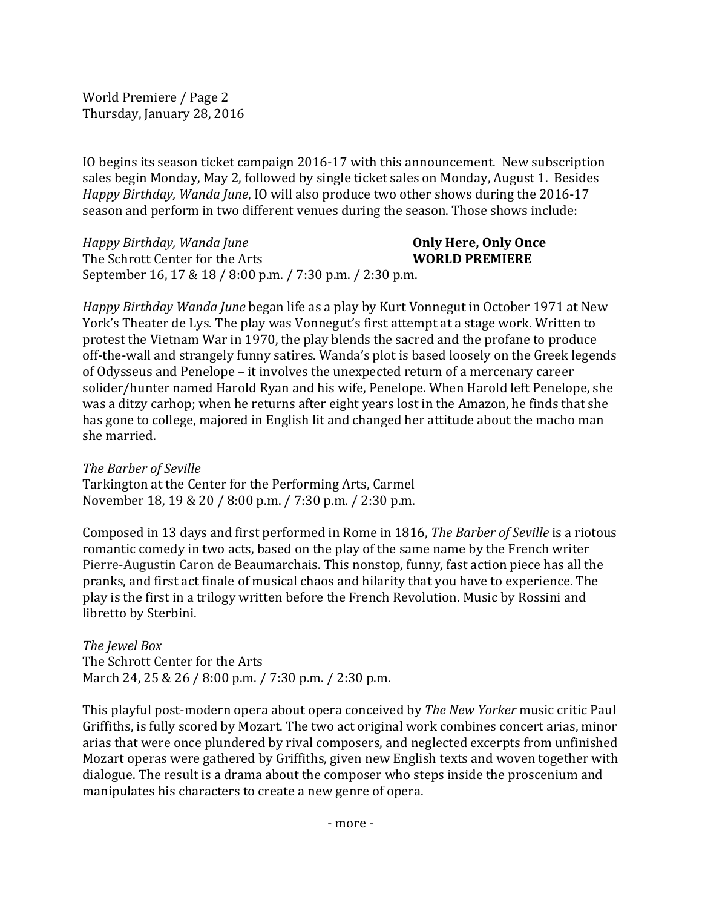World Premiere / Page 2 Thursday, January 28, 2016

IO begins its season ticket campaign 2016-17 with this announcement. New subscription sales begin Monday, May 2, followed by single ticket sales on Monday, August 1. Besides *Happy Birthday, Wanda June,* IO will also produce two other shows during the 2016-17 season and perform in two different venues during the season. Those shows include:

*Happy Birthday, Wanda June* **Only Here, Only Once** The Schrott Center for the Arts **WORLD PREMIERE** September 16, 17 & 18 / 8:00 p.m. / 7:30 p.m. / 2:30 p.m.

*Happy Birthday Wanda June* began life as a play by Kurt Vonnegut in October 1971 at New York's Theater de Lys. The play was Vonnegut's first attempt at a stage work. Written to protest the Vietnam War in 1970, the play blends the sacred and the profane to produce off-the-wall and strangely funny satires. Wanda's plot is based loosely on the Greek legends of Odysseus and Penelope – it involves the unexpected return of a mercenary career solider/hunter named Harold Ryan and his wife, Penelope. When Harold left Penelope, she was a ditzy carhop; when he returns after eight years lost in the Amazon, he finds that she has gone to college, majored in English lit and changed her attitude about the macho man she married.

*The Barber of Seville* Tarkington at the Center for the Performing Arts, Carmel November 18, 19 & 20 / 8:00 p.m. / 7:30 p.m. / 2:30 p.m.

Composed in 13 days and first performed in Rome in 1816, *The Barber of Seville* is a riotous romantic comedy in two acts, based on the play of the same name by the French writer Pierre-Augustin Caron de Beaumarchais. This nonstop, funny, fast action piece has all the pranks, and first act finale of musical chaos and hilarity that you have to experience. The play is the first in a trilogy written before the French Revolution. Music by Rossini and libretto by Sterbini.

*The Jewel Box* The Schrott Center for the Arts March 24, 25 & 26 / 8:00 p.m. / 7:30 p.m. / 2:30 p.m.

This playful post-modern opera about opera conceived by *The New Yorker* music critic Paul Griffiths, is fully scored by Mozart. The two act original work combines concert arias, minor arias that were once plundered by rival composers, and neglected excerpts from unfinished Mozart operas were gathered by Griffiths, given new English texts and woven together with dialogue. The result is a drama about the composer who steps inside the proscenium and manipulates his characters to create a new genre of opera.